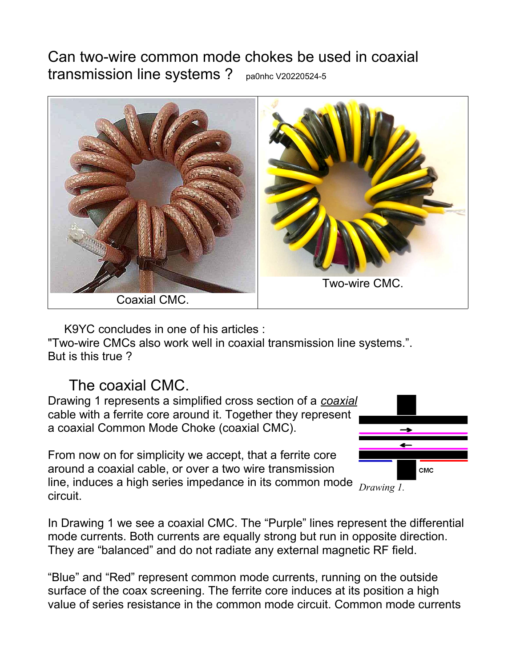## Can two-wire common mode chokes be used in coaxial transmission line systems ? pa0nhc V20220524-5



K9YC concludes in one of his articles :

"Two-wire CMCs also work well in coaxial transmission line systems.". But is this true ?

## The coaxial CMC.

Drawing 1 represents a simplified cross section of a *coaxial* cable with a ferrite core around it. Together they represent a coaxial Common Mode Choke (coaxial CMC).

From now on for simplicity we accept, that a ferrite core around a coaxial cable, or over a two wire transmission line, induces a high series impedance in its common mode circuit.



*Drawing 1.*

In Drawing 1 we see a coaxial CMC. The "Purple" lines represent the differential mode currents. Both currents are equally strong but run in opposite direction. They are "balanced" and do not radiate any external magnetic RF field.

"Blue" and "Red" represent common mode currents, running on the outside surface of the coax screening. The ferrite core induces at its position a high value of series resistance in the common mode circuit. Common mode currents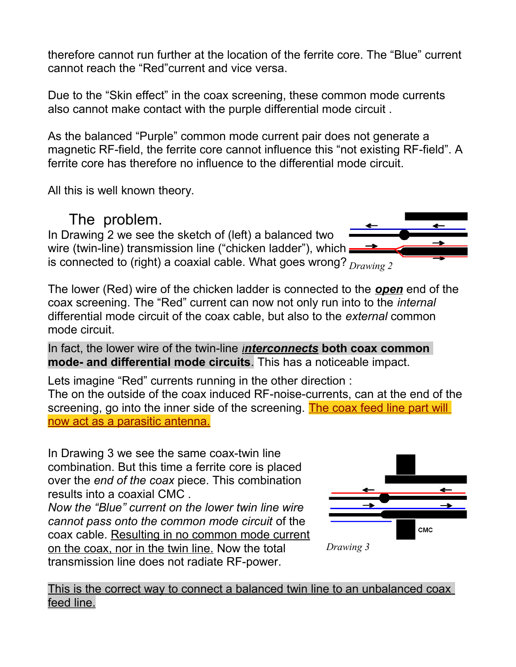therefore cannot run further at the location of the ferrite core. The "Blue" current cannot reach the "Red"current and vice versa.

Due to the "Skin effect" in the coax screening, these common mode currents also cannot make contact with the purple differential mode circuit .

As the balanced "Purple" common mode current pair does not generate a magnetic RF-field, the ferrite core cannot influence this "not existing RF-field". A ferrite core has therefore no influence to the differential mode circuit.

All this is well known theory.

## The problem.

In Drawing 2 we see the sketch of (left) a balanced two wire (twin-line) transmission line ("chicken ladder"), which = is connected to (right) a coaxial cable. What goes wrong? *Drawing 2*

The lower (Red) wire of the chicken ladder is connected to the *open* end of the coax screening. The "Red" current can now not only run into to the *internal* differential mode circuit of the coax cable, but also to the *external* common mode circuit.

In fact, the lower wire of the twin-line *interconnects* **both coax common mode- and differential mode circuits**. This has a noticeable impact.

Lets imagine "Red" currents running in the other direction : The on the outside of the coax induced RF-noise-currents, can at the end of the screening, go into the inner side of the screening. The coax feed line part will now act as a parasitic antenna.

In Drawing 3 we see the same coax-twin line combination. But this time a ferrite core is placed over the *end of the coax* piece. This combination results into a coaxial CMC .

*Now the "Blue" current on the lower twin line wire cannot pass onto the common mode circuit* of the coax cable. Resulting in no common mode current on the coax, nor in the twin line. Now the total transmission line does not radiate RF-power.



This is the correct way to connect a balanced twin line to an unbalanced coax feed line.

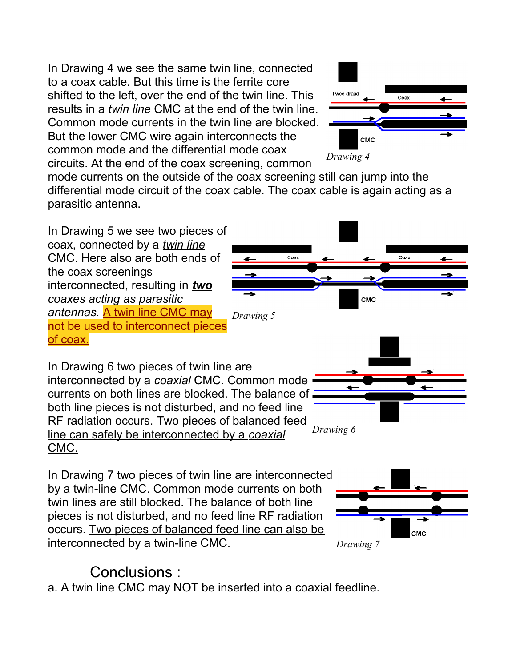In Drawing 4 we see the same twin line, connected to a coax cable. But this time is the ferrite core shifted to the left, over the end of the twin line. This results in a *twin line* CMC at the end of the twin line. Common mode currents in the twin line are blocked. But the lower CMC wire again interconnects the common mode and the differential mode coax circuits. At the end of the coax screening, common



mode currents on the outside of the coax screening still can jump into the differential mode circuit of the coax cable. The coax cable is again acting as a parasitic antenna.

In Drawing 5 we see two pieces of coax, connected by a *twin line* CMC. Here also are both ends of the coax screenings interconnected, resulting in *two coaxes acting as parasitic antennas.* A twin line CMC may not be used to interconnect pieces of coax.



In Drawing 6 two pieces of twin line are interconnected by a *coaxial* CMC. Common mode currents on both lines are blocked. The balance of both line pieces is not disturbed, and no feed line RF radiation occurs. Two pieces of balanced feed line can safely be interconnected by a *coaxial* CMC. *Drawing 6*

In Drawing 7 two pieces of twin line are interconnected by a twin-line CMC. Common mode currents on both twin lines are still blocked. The balance of both line pieces is not disturbed, and no feed line RF radiation occurs. Two pieces of balanced feed line can also be interconnected by a twin-line CMC.



## Conclusions :

a. A twin line CMC may NOT be inserted into a coaxial feedline.